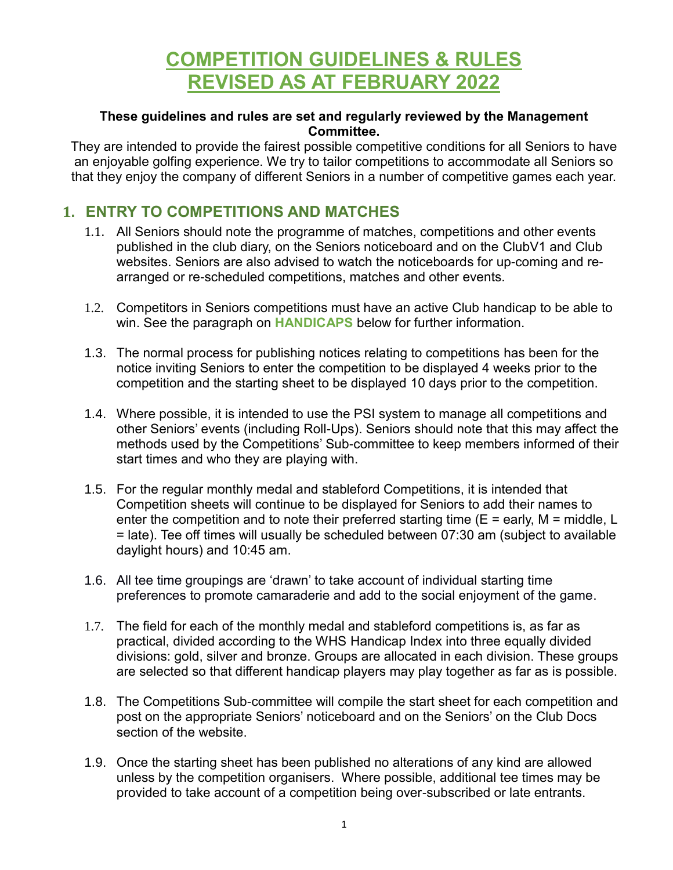# **COMPETITION GUIDELINES & RULES REVISED AS AT FEBRUARY 2022**

#### **These guidelines and rules are set and regularly reviewed by the Management Committee.**

They are intended to provide the fairest possible competitive conditions for all Seniors to have an enjoyable golfing experience. We try to tailor competitions to accommodate all Seniors so that they enjoy the company of different Seniors in a number of competitive games each year.

# **1. ENTRY TO COMPETITIONS AND MATCHES**

- 1.1. All Seniors should note the programme of matches, competitions and other events published in the club diary, on the Seniors noticeboard and on the ClubV1 and Club websites. Seniors are also advised to watch the noticeboards for up-coming and rearranged or re-scheduled competitions, matches and other events.
- 1.2. Competitors in Seniors competitions must have an active Club handicap to be able to win. See the paragraph on **HANDICAPS** below for further information.
- 1.3. The normal process for publishing notices relating to competitions has been for the notice inviting Seniors to enter the competition to be displayed 4 weeks prior to the competition and the starting sheet to be displayed 10 days prior to the competition.
- 1.4. Where possible, it is intended to use the PSI system to manage all competitions and other Seniors' events (including Roll-Ups). Seniors should note that this may affect the methods used by the Competitions' Sub-committee to keep members informed of their start times and who they are playing with.
- 1.5. For the regular monthly medal and stableford Competitions, it is intended that Competition sheets will continue to be displayed for Seniors to add their names to enter the competition and to note their preferred starting time  $(E = \text{early}, M = \text{middle}, L$ = late). Tee off times will usually be scheduled between 07:30 am (subject to available daylight hours) and 10:45 am.
- 1.6. All tee time groupings are 'drawn' to take account of individual starting time preferences to promote camaraderie and add to the social enjoyment of the game.
- 1.7. The field for each of the monthly medal and stableford competitions is, as far as practical, divided according to the WHS Handicap Index into three equally divided divisions: gold, silver and bronze. Groups are allocated in each division. These groups are selected so that different handicap players may play together as far as is possible.
- 1.8. The Competitions Sub-committee will compile the start sheet for each competition and post on the appropriate Seniors' noticeboard and on the Seniors' on the Club Docs section of the website.
- 1.9. Once the starting sheet has been published no alterations of any kind are allowed unless by the competition organisers. Where possible, additional tee times may be provided to take account of a competition being over-subscribed or late entrants.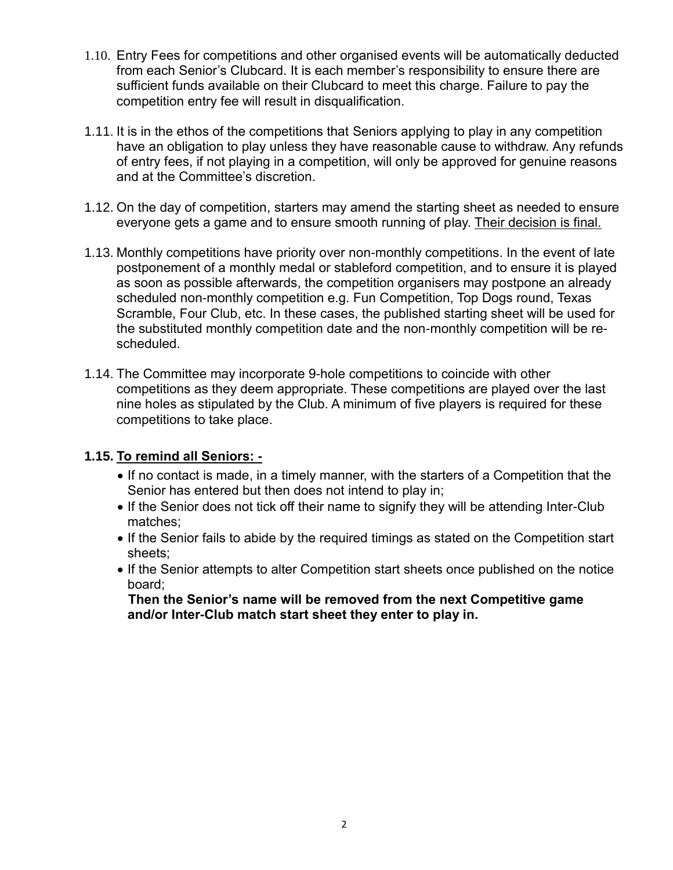- 1.10. Entry Fees for competitions and other organised events will be automatically deducted from each Senior's Clubcard. It is each member's responsibility to ensure there are sufficient funds available on their Clubcard to meet this charge. Failure to pay the competition entry fee will result in disqualification.
- 1.11. It is in the ethos of the competitions that Seniors applying to play in any competition have an obligation to play unless they have reasonable cause to withdraw. Any refunds of entry fees, if not playing in a competition, will only be approved for genuine reasons and at the Committee's discretion.
- 1.12. On the day of competition, starters may amend the starting sheet as needed to ensure everyone gets a game and to ensure smooth running of play. Their decision is final.
- 1.13. Monthly competitions have priority over non-monthly competitions. In the event of late postponement of a monthly medal or stableford competition, and to ensure it is played as soon as possible afterwards, the competition organisers may postpone an already scheduled non-monthly competition e.g. Fun Competition, Top Dogs round, Texas Scramble, Four Club, etc. In these cases, the published starting sheet will be used for the substituted monthly competition date and the non-monthly competition will be rescheduled.
- 1.14. The Committee may incorporate 9-hole competitions to coincide with other competitions as they deem appropriate. These competitions are played over the last nine holes as stipulated by the Club. A minimum of five players is required for these competitions to take place.

#### **1.15. To remind all Seniors: -**

- If no contact is made, in a timely manner, with the starters of a Competition that the Senior has entered but then does not intend to play in;
- If the Senior does not tick off their name to signify they will be attending Inter-Club matches;
- If the Senior fails to abide by the required timings as stated on the Competition start sheets;
- If the Senior attempts to alter Competition start sheets once published on the notice board;

**Then the Senior's name will be removed from the next Competitive game and/or Inter-Club match start sheet they enter to play in.**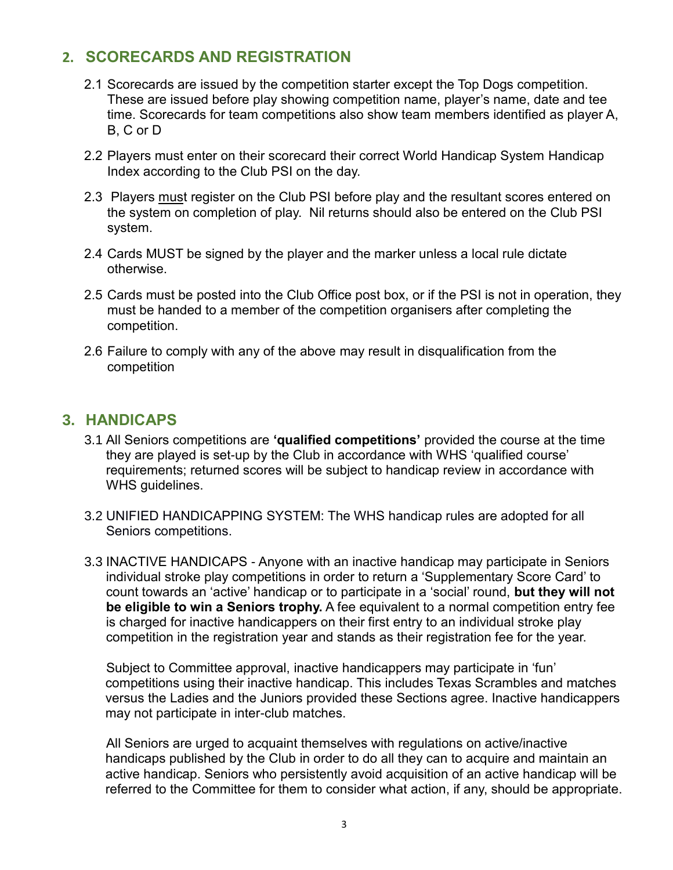## **2. SCORECARDS AND REGISTRATION**

- 2.1 Scorecards are issued by the competition starter except the Top Dogs competition. These are issued before play showing competition name, player's name, date and tee time. Scorecards for team competitions also show team members identified as player A, B, C or D
- 2.2 Players must enter on their scorecard their correct World Handicap System Handicap Index according to the Club PSI on the day.
- 2.3 Players must register on the Club PSI before play and the resultant scores entered on the system on completion of play. Nil returns should also be entered on the Club PSI system.
- 2.4 Cards MUST be signed by the player and the marker unless a local rule dictate otherwise.
- 2.5 Cards must be posted into the Club Office post box, or if the PSI is not in operation, they must be handed to a member of the competition organisers after completing the competition.
- 2.6 Failure to comply with any of the above may result in disqualification from the competition

#### **3. HANDICAPS**

- 3.1 All Seniors competitions are **'qualified competitions'** provided the course at the time they are played is set-up by the Club in accordance with WHS 'qualified course' requirements; returned scores will be subject to handicap review in accordance with WHS guidelines.
- 3.2 UNIFIED HANDICAPPING SYSTEM: The WHS handicap rules are adopted for all Seniors competitions.
- 3.3 INACTIVE HANDICAPS Anyone with an inactive handicap may participate in Seniors individual stroke play competitions in order to return a 'Supplementary Score Card' to count towards an 'active' handicap or to participate in a 'social' round, **but they will not be eligible to win a Seniors trophy.** A fee equivalent to a normal competition entry fee is charged for inactive handicappers on their first entry to an individual stroke play competition in the registration year and stands as their registration fee for the year.

Subject to Committee approval, inactive handicappers may participate in 'fun' competitions using their inactive handicap. This includes Texas Scrambles and matches versus the Ladies and the Juniors provided these Sections agree. Inactive handicappers may not participate in inter-club matches.

All Seniors are urged to acquaint themselves with regulations on active/inactive handicaps published by the Club in order to do all they can to acquire and maintain an active handicap. Seniors who persistently avoid acquisition of an active handicap will be referred to the Committee for them to consider what action, if any, should be appropriate.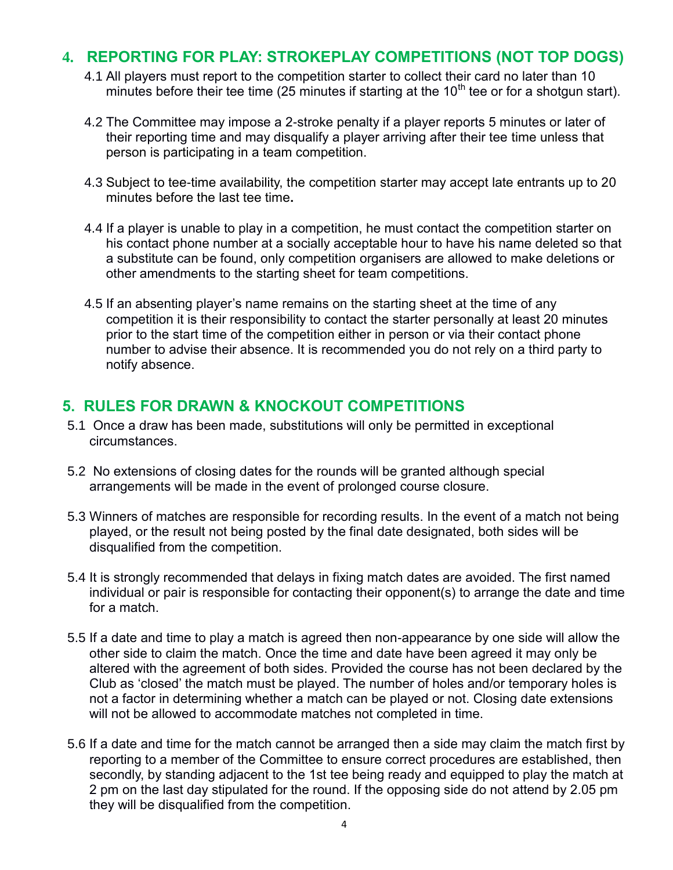#### **4. REPORTING FOR PLAY: STROKEPLAY COMPETITIONS (NOT TOP DOGS)**

- 4.1 All players must report to the competition starter to collect their card no later than 10 minutes before their tee time (25 minutes if starting at the  $10<sup>th</sup>$  tee or for a shotgun start).
- 4.2 The Committee may impose a 2-stroke penalty if a player reports 5 minutes or later of their reporting time and may disqualify a player arriving after their tee time unless that person is participating in a team competition.
- 4.3 Subject to tee-time availability, the competition starter may accept late entrants up to 20 minutes before the last tee time**.**
- 4.4 If a player is unable to play in a competition, he must contact the competition starter on his contact phone number at a socially acceptable hour to have his name deleted so that a substitute can be found, only competition organisers are allowed to make deletions or other amendments to the starting sheet for team competitions.
- 4.5 If an absenting player's name remains on the starting sheet at the time of any competition it is their responsibility to contact the starter personally at least 20 minutes prior to the start time of the competition either in person or via their contact phone number to advise their absence. It is recommended you do not rely on a third party to notify absence.

## **5. RULES FOR DRAWN & KNOCKOUT COMPETITIONS**

- 5.1 Once a draw has been made, substitutions will only be permitted in exceptional circumstances.
- 5.2 No extensions of closing dates for the rounds will be granted although special arrangements will be made in the event of prolonged course closure.
- 5.3 Winners of matches are responsible for recording results. In the event of a match not being played, or the result not being posted by the final date designated, both sides will be disqualified from the competition.
- 5.4 It is strongly recommended that delays in fixing match dates are avoided. The first named individual or pair is responsible for contacting their opponent(s) to arrange the date and time for a match.
- 5.5 If a date and time to play a match is agreed then non-appearance by one side will allow the other side to claim the match. Once the time and date have been agreed it may only be altered with the agreement of both sides. Provided the course has not been declared by the Club as 'closed' the match must be played. The number of holes and/or temporary holes is not a factor in determining whether a match can be played or not. Closing date extensions will not be allowed to accommodate matches not completed in time.
- 5.6 If a date and time for the match cannot be arranged then a side may claim the match first by reporting to a member of the Committee to ensure correct procedures are established, then secondly, by standing adjacent to the 1st tee being ready and equipped to play the match at 2 pm on the last day stipulated for the round. If the opposing side do not attend by 2.05 pm they will be disqualified from the competition.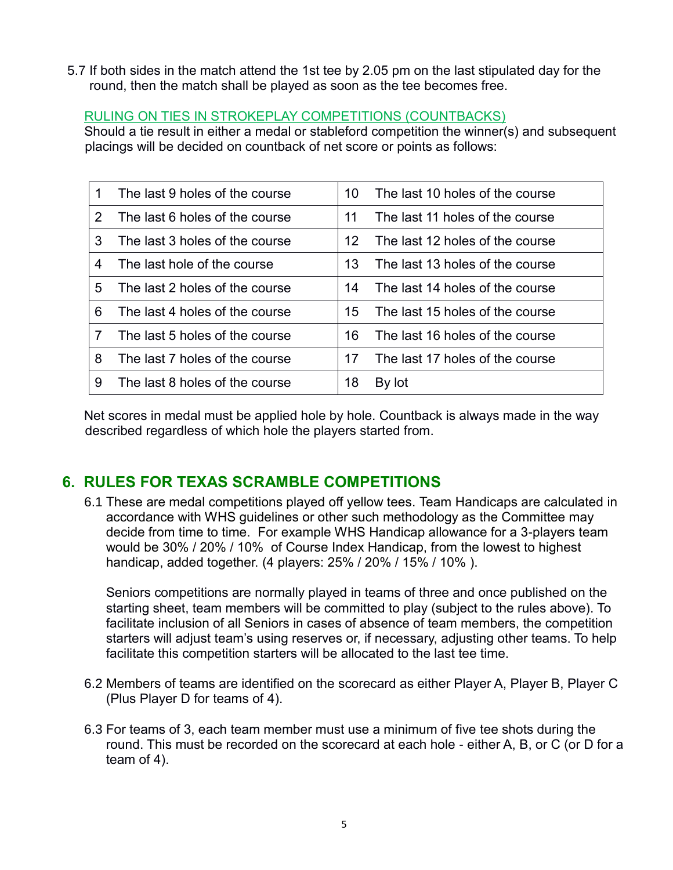5.7 If both sides in the match attend the 1st tee by 2.05 pm on the last stipulated day for the round, then the match shall be played as soon as the tee becomes free.

#### RULING ON TIES IN STROKEPLAY COMPETITIONS (COUNTBACKS)

Should a tie result in either a medal or stableford competition the winner(s) and subsequent placings will be decided on countback of net score or points as follows:

| 1 | The last 9 holes of the course | 10 | The last 10 holes of the course |
|---|--------------------------------|----|---------------------------------|
| 2 | The last 6 holes of the course | 11 | The last 11 holes of the course |
| 3 | The last 3 holes of the course | 12 | The last 12 holes of the course |
| 4 | The last hole of the course    | 13 | The last 13 holes of the course |
| 5 | The last 2 holes of the course | 14 | The last 14 holes of the course |
| 6 | The last 4 holes of the course | 15 | The last 15 holes of the course |
| 7 | The last 5 holes of the course | 16 | The last 16 holes of the course |
| 8 | The last 7 holes of the course | 17 | The last 17 holes of the course |
| 9 | The last 8 holes of the course | 18 | By lot                          |

Net scores in medal must be applied hole by hole. Countback is always made in the way described regardless of which hole the players started from.

# **6. RULES FOR TEXAS SCRAMBLE COMPETITIONS**

6.1 These are medal competitions played off yellow tees. Team Handicaps are calculated in accordance with WHS guidelines or other such methodology as the Committee may decide from time to time. For example WHS Handicap allowance for a 3-players team would be 30% / 20% / 10% of Course Index Handicap, from the lowest to highest handicap, added together. (4 players: 25% / 20% / 15% / 10% ).

Seniors competitions are normally played in teams of three and once published on the starting sheet, team members will be committed to play (subject to the rules above). To facilitate inclusion of all Seniors in cases of absence of team members, the competition starters will adjust team's using reserves or, if necessary, adjusting other teams. To help facilitate this competition starters will be allocated to the last tee time.

- 6.2 Members of teams are identified on the scorecard as either Player A, Player B, Player C (Plus Player D for teams of 4).
- 6.3 For teams of 3, each team member must use a minimum of five tee shots during the round. This must be recorded on the scorecard at each hole - either A, B, or C (or D for a team of 4).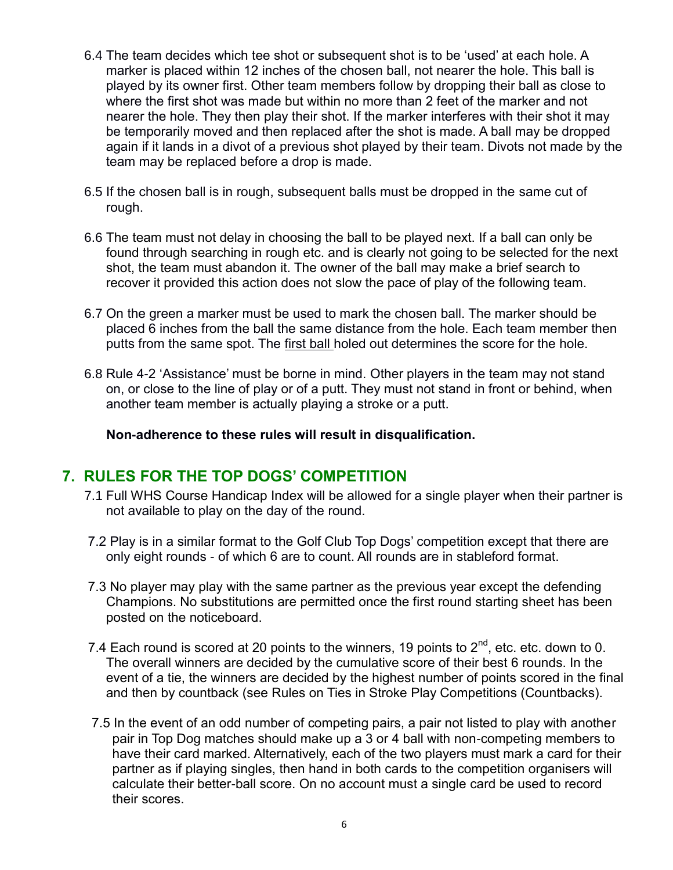- 6.4 The team decides which tee shot or subsequent shot is to be 'used' at each hole. A marker is placed within 12 inches of the chosen ball, not nearer the hole. This ball is played by its owner first. Other team members follow by dropping their ball as close to where the first shot was made but within no more than 2 feet of the marker and not nearer the hole. They then play their shot. If the marker interferes with their shot it may be temporarily moved and then replaced after the shot is made. A ball may be dropped again if it lands in a divot of a previous shot played by their team. Divots not made by the team may be replaced before a drop is made.
- 6.5 If the chosen ball is in rough, subsequent balls must be dropped in the same cut of rough.
- 6.6 The team must not delay in choosing the ball to be played next. If a ball can only be found through searching in rough etc. and is clearly not going to be selected for the next shot, the team must abandon it. The owner of the ball may make a brief search to recover it provided this action does not slow the pace of play of the following team.
- 6.7 On the green a marker must be used to mark the chosen ball. The marker should be placed 6 inches from the ball the same distance from the hole. Each team member then putts from the same spot. The first ball holed out determines the score for the hole.
- 6.8 Rule 4-2 'Assistance' must be borne in mind. Other players in the team may not stand on, or close to the line of play or of a putt. They must not stand in front or behind, when another team member is actually playing a stroke or a putt.

 **Non-adherence to these rules will result in disqualification.**

## **7. RULES FOR THE TOP DOGS' COMPETITION**

- 7.1 Full WHS Course Handicap Index will be allowed for a single player when their partner is not available to play on the day of the round.
- 7.2 Play is in a similar format to the Golf Club Top Dogs' competition except that there are only eight rounds - of which 6 are to count. All rounds are in stableford format.
- 7.3 No player may play with the same partner as the previous year except the defending Champions. No substitutions are permitted once the first round starting sheet has been posted on the noticeboard.
- 7.4 Each round is scored at 20 points to the winners, 19 points to  $2^{nd}$ , etc. etc. down to 0. The overall winners are decided by the cumulative score of their best 6 rounds. In the event of a tie, the winners are decided by the highest number of points scored in the final and then by countback (see Rules on Ties in Stroke Play Competitions (Countbacks).
- 7.5 In the event of an odd number of competing pairs, a pair not listed to play with another pair in Top Dog matches should make up a 3 or 4 ball with non-competing members to have their card marked. Alternatively, each of the two players must mark a card for their partner as if playing singles, then hand in both cards to the competition organisers will calculate their better-ball score. On no account must a single card be used to record their scores.